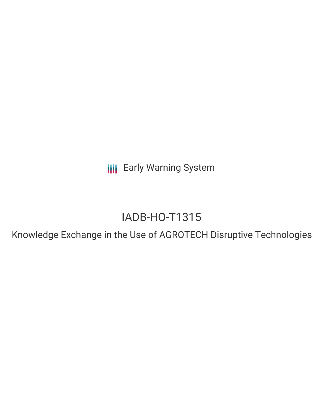**III** Early Warning System

# IADB-HO-T1315

Knowledge Exchange in the Use of AGROTECH Disruptive Technologies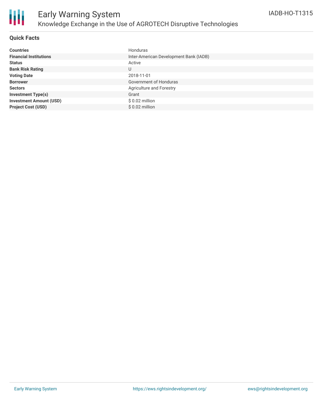

### **Quick Facts**

| <b>Countries</b>               | Honduras                               |
|--------------------------------|----------------------------------------|
| <b>Financial Institutions</b>  | Inter-American Development Bank (IADB) |
| <b>Status</b>                  | Active                                 |
| <b>Bank Risk Rating</b>        | U                                      |
| <b>Voting Date</b>             | 2018-11-01                             |
| <b>Borrower</b>                | Government of Honduras                 |
| <b>Sectors</b>                 | Agriculture and Forestry               |
| <b>Investment Type(s)</b>      | Grant                                  |
| <b>Investment Amount (USD)</b> | $$0.02$ million                        |
| <b>Project Cost (USD)</b>      | $$0.02$ million                        |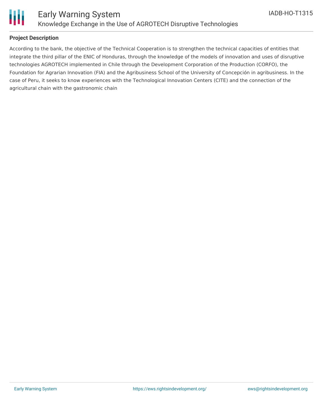

## **Project Description**

According to the bank, the objective of the Technical Cooperation is to strengthen the technical capacities of entities that integrate the third pillar of the ENIC of Honduras, through the knowledge of the models of innovation and uses of disruptive technologies AGROTECH implemented in Chile through the Development Corporation of the Production (CORFO), the Foundation for Agrarian Innovation (FIA) and the Agribusiness School of the University of Concepción in agribusiness. In the case of Peru, it seeks to know experiences with the Technological Innovation Centers (CITE) and the connection of the agricultural chain with the gastronomic chain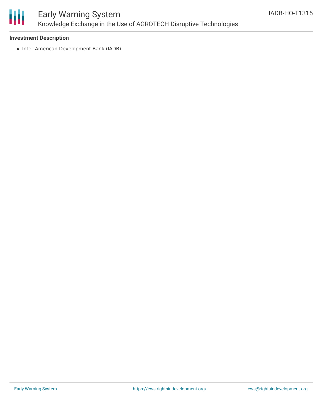

# Early Warning System Knowledge Exchange in the Use of AGROTECH Disruptive Technologies

### **Investment Description**

• Inter-American Development Bank (IADB)